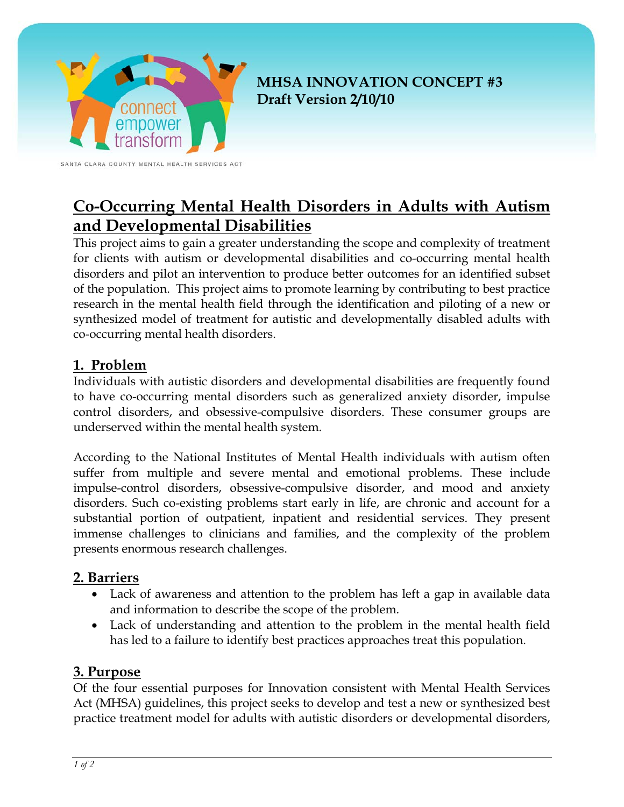

**MHSA INNOVATION CONCEPT #3 Draft Version 2/10/10** 

SANTA CLARA COUNTY MENTAL HEALTH SERVICES ACT

# **Co-Occurring Mental Health Disorders in Adults with Autism and Developmental Disabilities**

This project aims to gain a greater understanding the scope and complexity of treatment for clients with autism or developmental disabilities and co-occurring mental health disorders and pilot an intervention to produce better outcomes for an identified subset of the population. This project aims to promote learning by contributing to best practice research in the mental health field through the identification and piloting of a new or synthesized model of treatment for autistic and developmentally disabled adults with co-occurring mental health disorders.

### **1. Problem**

Individuals with autistic disorders and developmental disabilities are frequently found to have co-occurring mental disorders such as generalized anxiety disorder, impulse control disorders, and obsessive-compulsive disorders. These consumer groups are underserved within the mental health system.

According to the National Institutes of Mental Health individuals with autism often suffer from multiple and severe mental and emotional problems. These include impulse-control disorders, obsessive-compulsive disorder, and mood and anxiety disorders. Such co-existing problems start early in life, are chronic and account for a substantial portion of outpatient, inpatient and residential services. They present immense challenges to clinicians and families, and the complexity of the problem presents enormous research challenges.

### **2. Barriers**

- Lack of awareness and attention to the problem has left a gap in available data and information to describe the scope of the problem.
- Lack of understanding and attention to the problem in the mental health field has led to a failure to identify best practices approaches treat this population.

### **3. Purpose**

Of the four essential purposes for Innovation consistent with Mental Health Services Act (MHSA) guidelines, this project seeks to develop and test a new or synthesized best practice treatment model for adults with autistic disorders or developmental disorders,